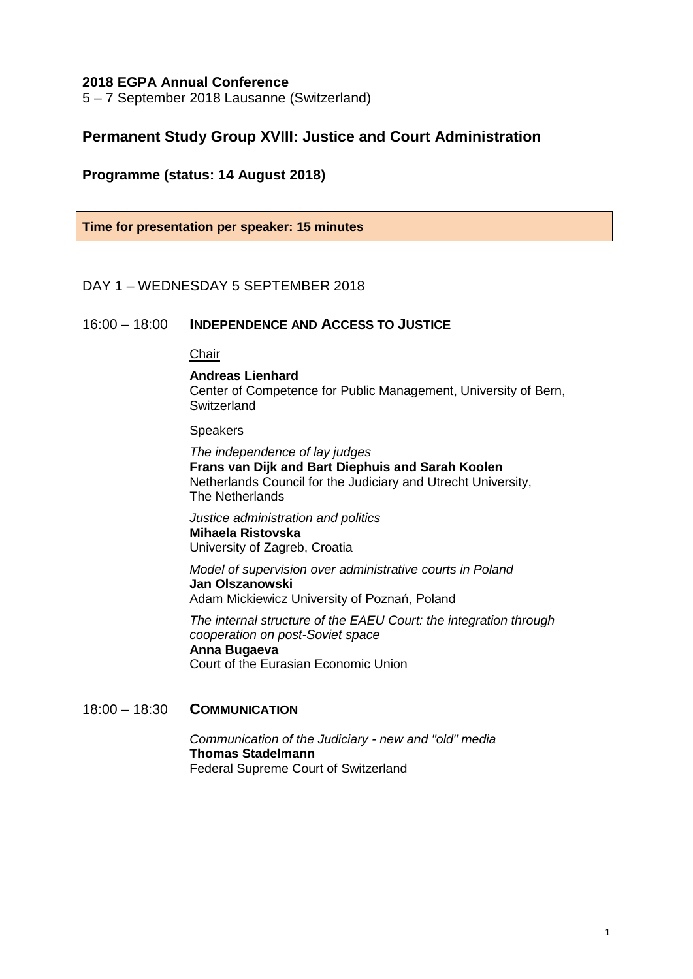### **2018 EGPA Annual Conference**

5 – 7 September 2018 Lausanne (Switzerland)

# **Permanent Study Group XVIII: Justice and Court Administration**

## **Programme (status: 14 August 2018)**

**Time for presentation per speaker: 15 minutes**

## DAY 1 – WEDNESDAY 5 SEPTEMBER 2018

### 16:00 – 18:00 **INDEPENDENCE AND ACCESS TO JUSTICE**

# Chair

#### **Andreas Lienhard**

Center of Competence for Public Management, University of Bern, Switzerland

### **Speakers**

*The independence of lay judges* **Frans van Dijk and Bart Diephuis and Sarah Koolen** Netherlands Council for the Judiciary and Utrecht University, The Netherlands

*Justice administration and politics* **Mihaela Ristovska** University of Zagreb, Croatia

*Model of supervision over administrative courts in Poland* **Jan Olszanowski** Adam Mickiewicz University of Poznań, Poland

*The internal structure of the EAEU Court: the integration through cooperation on post-Soviet space* **Anna Bugaeva** Court of the Eurasian Economic Union

# 18:00 – 18:30 **COMMUNICATION**

*Communication of the Judiciary - new and "old" media* **Thomas Stadelmann** Federal Supreme Court of Switzerland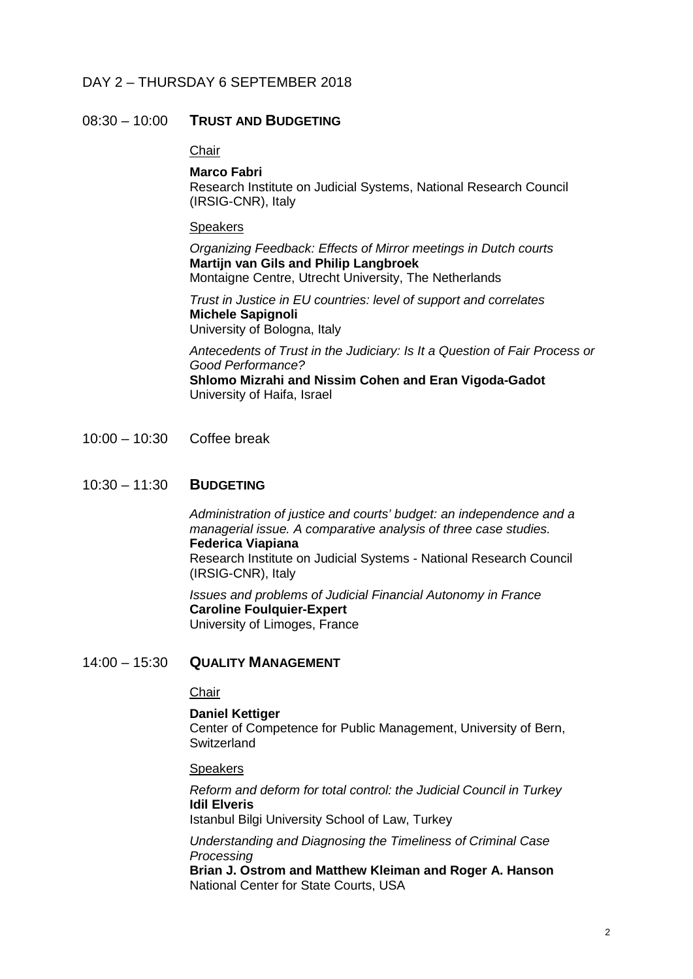## DAY 2 – THURSDAY 6 SEPTEMBER 2018

### 08:30 – 10:00 **TRUST AND BUDGETING**

### **Chair**

#### **Marco Fabri**

Research Institute on Judicial Systems, National Research Council (IRSIG-CNR), Italy

### **Speakers**

*Organizing Feedback: Effects of Mirror meetings in Dutch courts* **Martijn van Gils and Philip Langbroek** Montaigne Centre, Utrecht University, The Netherlands

*Trust in Justice in EU countries: level of support and correlates* **Michele Sapignoli** University of Bologna, Italy

*Antecedents of Trust in the Judiciary: Is It a Question of Fair Process or Good Performance?* **Shlomo Mizrahi and Nissim Cohen and Eran Vigoda-Gadot** University of Haifa, Israel

10:00 – 10:30 Coffee break

### 10:30 – 11:30 **BUDGETING**

*Administration of justice and courts' budget: an independence and a managerial issue. A comparative analysis of three case studies.* **Federica Viapiana** Research Institute on Judicial Systems - National Research Council (IRSIG-CNR), Italy

*Issues and problems of Judicial Financial Autonomy in France* **Caroline Foulquier-Expert** University of Limoges, France

### 14:00 – 15:30 **QUALITY MANAGEMENT**

## **Chair**

**Daniel Kettiger** Center of Competence for Public Management, University of Bern, **Switzerland** 

#### **Speakers**

*Reform and deform for total control: the Judicial Council in Turkey* **Idil Elveris**

Istanbul Bilgi University School of Law, Turkey

*Understanding and Diagnosing the Timeliness of Criminal Case Processing*

**Brian J. Ostrom and Matthew Kleiman and Roger A. Hanson** National Center for State Courts, USA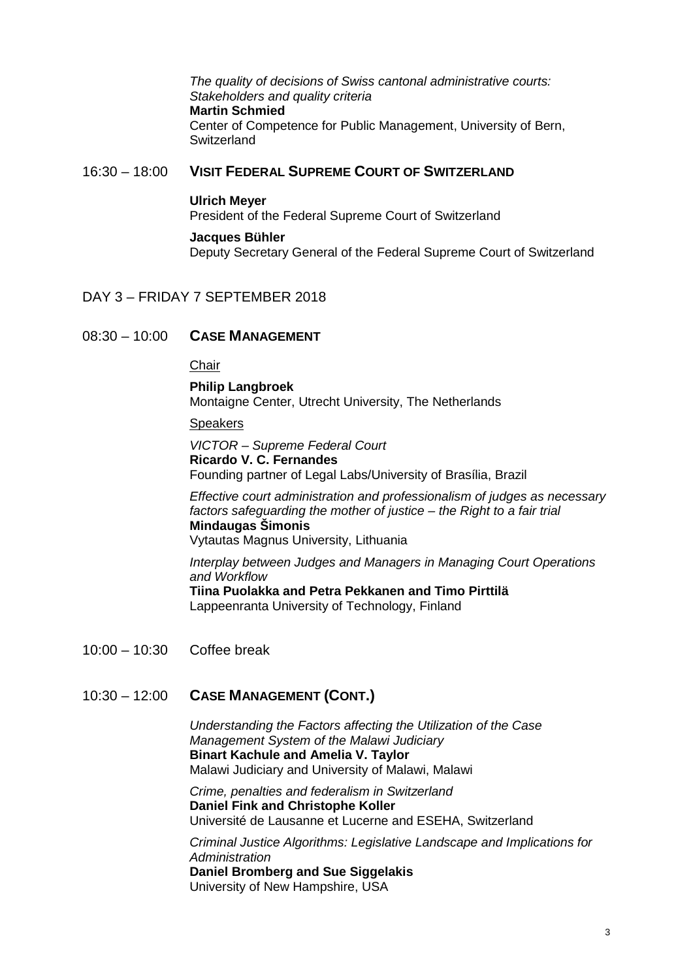*The quality of decisions of Swiss cantonal administrative courts: Stakeholders and quality criteria* **Martin Schmied** Center of Competence for Public Management, University of Bern, **Switzerland** 

### 16:30 – 18:00 **VISIT FEDERAL SUPREME COURT OF SWITZERLAND**

#### **Ulrich Meyer**

President of the Federal Supreme Court of Switzerland

### **Jacques Bühler**

Deputy Secretary General of the Federal Supreme Court of Switzerland

### DAY 3 – FRIDAY 7 SEPTEMBER 2018

## 08:30 – 10:00 **CASE MANAGEMENT**

### **Chair**

**Philip Langbroek** Montaigne Center, Utrecht University, The Netherlands

Speakers

*VICTOR – Supreme Federal Court* **Ricardo V. C. Fernandes** Founding partner of Legal Labs/University of Brasília, Brazil

*Effective court administration and professionalism of judges as necessary factors safeguarding the mother of justice – the Right to a fair trial*  **Mindaugas Šimonis** Vytautas Magnus University, Lithuania

*Interplay between Judges and Managers in Managing Court Operations and Workflow* **Tiina Puolakka and Petra Pekkanen and Timo Pirttilä** Lappeenranta University of Technology, Finland

10:00 – 10:30 Coffee break

# 10:30 – 12:00 **CASE MANAGEMENT (CONT.)**

*Understanding the Factors affecting the Utilization of the Case Management System of the Malawi Judiciary* **Binart Kachule and Amelia V. Taylor** Malawi Judiciary and University of Malawi, Malawi

*Crime, penalties and federalism in Switzerland* **Daniel Fink and Christophe Koller** Université de Lausanne et Lucerne and ESEHA, Switzerland

*Criminal Justice Algorithms: Legislative Landscape and Implications for Administration* **Daniel Bromberg and Sue Siggelakis** University of New Hampshire, USA